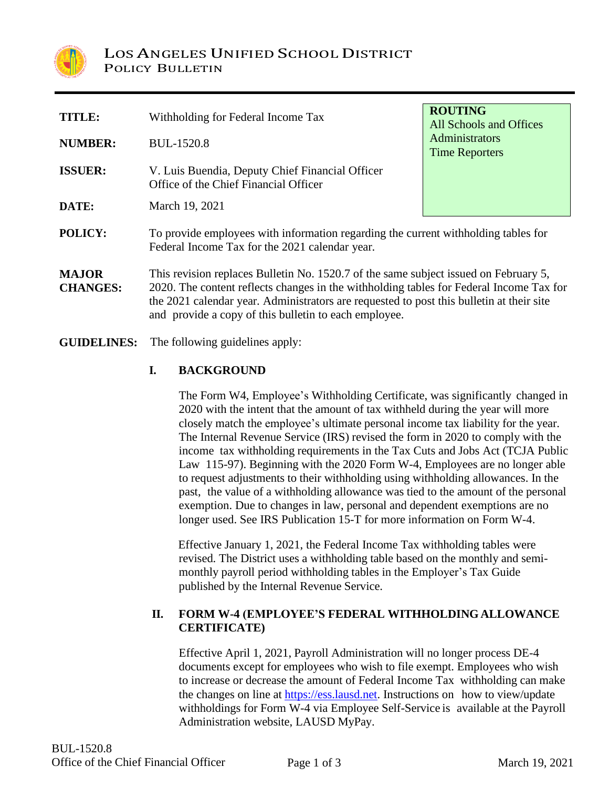

| <b>TITLE:</b>                   | Withholding for Federal Income Tax                                                                                                                                                                                                                                                                                                    | <b>ROUTING</b><br>All Schools and Offices |  |  |  |  |  |
|---------------------------------|---------------------------------------------------------------------------------------------------------------------------------------------------------------------------------------------------------------------------------------------------------------------------------------------------------------------------------------|-------------------------------------------|--|--|--|--|--|
| <b>NUMBER:</b>                  | <b>BUL-1520.8</b>                                                                                                                                                                                                                                                                                                                     | Administrators<br><b>Time Reporters</b>   |  |  |  |  |  |
| <b>ISSUER:</b>                  | V. Luis Buendia, Deputy Chief Financial Officer<br>Office of the Chief Financial Officer                                                                                                                                                                                                                                              |                                           |  |  |  |  |  |
| DATE:                           | March 19, 2021                                                                                                                                                                                                                                                                                                                        |                                           |  |  |  |  |  |
| POLICY:                         | To provide employees with information regarding the current withholding tables for<br>Federal Income Tax for the 2021 calendar year.                                                                                                                                                                                                  |                                           |  |  |  |  |  |
| <b>MAJOR</b><br><b>CHANGES:</b> | This revision replaces Bulletin No. 1520.7 of the same subject issued on February 5,<br>2020. The content reflects changes in the withholding tables for Federal Income Tax for<br>the 2021 calendar year. Administrators are requested to post this bullet in at their site<br>and provide a copy of this bulletin to each employee. |                                           |  |  |  |  |  |

**GUIDELINES:** The following guidelines apply:

# **I. BACKGROUND**

The Form W4, Employee's Withholding Certificate, was significantly changed in 2020 with the intent that the amount of tax withheld during the year will more closely match the employee's ultimate personal income tax liability for the year. The Internal Revenue Service (IRS) revised the form in 2020 to comply with the income tax withholding requirements in the Tax Cuts and Jobs Act (TCJA Public Law 115-97). Beginning with the 2020 Form W-4, Employees are no longer able to request adjustments to their withholding using withholding allowances. In the past, the value of a withholding allowance was tied to the amount of the personal exemption. Due to changes in law, personal and dependent exemptions are no longer used. See IRS Publication 15-T for more information on Form W-4.

Effective January 1, 2021, the Federal Income Tax withholding tables were revised. The District uses a withholding table based on the monthly and semimonthly payroll period withholding tables in the Employer's Tax Guide published by the Internal Revenue Service.

## **II. FORM W-4 (EMPLOYEE'S FEDERAL WITHHOLDINGALLOWANCE CERTIFICATE)**

Effective April 1, 2021, Payroll Administration will no longer process DE-4 documents except for employees who wish to file exempt. Employees who wish to increase or decrease the amount of Federal Income Tax withholding can make the changes on line at [https://ess.lausd.net.](https://ess.lausd.net/) Instructions on how to view/update withholdings for Form W-4 via Employee Self-Service is available at the Payroll Administration website, LAUSD MyPay.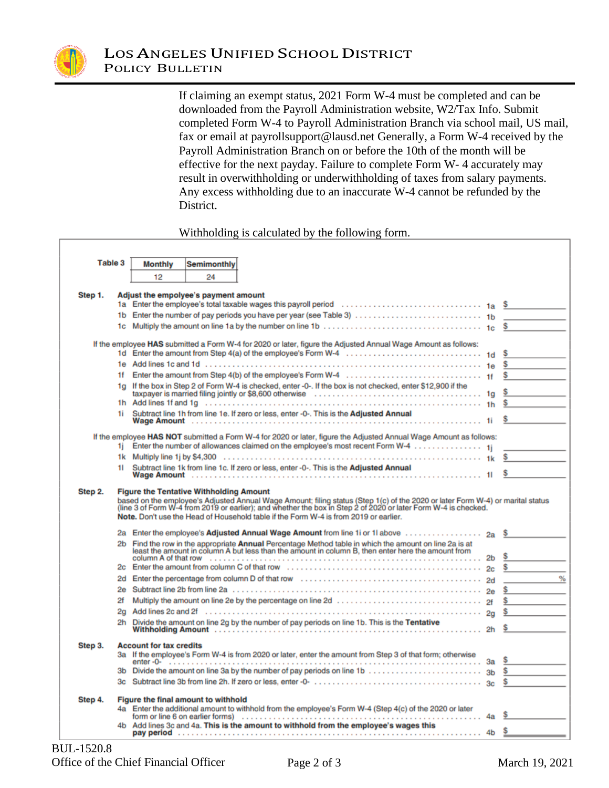

If claiming an exempt status, 2021 Form W-4 must be completed and can be downloaded from the Payroll Administration website, W2/Tax Info. Submit completed Form W-4 to Payroll Administration Branch via school mail, US mail, fax or email at payrollsupport@lausd.net Generally, a Form W-4 received by the Payroll Administration Branch on or before the 10th of the month will be effective for the next payday. Failure to complete Form W- 4 accurately may result in overwithholding or underwithholding of taxes from salary payments. Any excess withholding due to an inaccurate W-4 cannot be refunded by the District.

### Withholding is calculated by the following form.

| Table 3 |                                                                                                                                                                                                                                                                                                                                                                            | <b>Monthly</b>                                                                                                                                    | <b>Semimonthly</b>                   |                                                                                                                                                                                                                                |                |          |  |
|---------|----------------------------------------------------------------------------------------------------------------------------------------------------------------------------------------------------------------------------------------------------------------------------------------------------------------------------------------------------------------------------|---------------------------------------------------------------------------------------------------------------------------------------------------|--------------------------------------|--------------------------------------------------------------------------------------------------------------------------------------------------------------------------------------------------------------------------------|----------------|----------|--|
|         |                                                                                                                                                                                                                                                                                                                                                                            | 12                                                                                                                                                | 24                                   |                                                                                                                                                                                                                                |                |          |  |
| Step 1. |                                                                                                                                                                                                                                                                                                                                                                            |                                                                                                                                                   | Adjust the empolyee's payment amount |                                                                                                                                                                                                                                |                |          |  |
|         |                                                                                                                                                                                                                                                                                                                                                                            |                                                                                                                                                   |                                      | 1a Enter the employee's total taxable wages this payroll period $\ldots \ldots \ldots \ldots \ldots \ldots \ldots$ 1a \$                                                                                                       |                |          |  |
|         | 1b.                                                                                                                                                                                                                                                                                                                                                                        |                                                                                                                                                   |                                      |                                                                                                                                                                                                                                |                |          |  |
|         | 1c                                                                                                                                                                                                                                                                                                                                                                         |                                                                                                                                                   |                                      |                                                                                                                                                                                                                                |                |          |  |
|         |                                                                                                                                                                                                                                                                                                                                                                            |                                                                                                                                                   |                                      | If the employee HAS submitted a Form W-4 for 2020 or later, figure the Adjusted Annual Wage Amount as follows:                                                                                                                 |                |          |  |
|         |                                                                                                                                                                                                                                                                                                                                                                            |                                                                                                                                                   |                                      |                                                                                                                                                                                                                                |                | s        |  |
|         |                                                                                                                                                                                                                                                                                                                                                                            |                                                                                                                                                   |                                      |                                                                                                                                                                                                                                |                | \$       |  |
|         | 1f.                                                                                                                                                                                                                                                                                                                                                                        |                                                                                                                                                   |                                      |                                                                                                                                                                                                                                |                | \$       |  |
|         |                                                                                                                                                                                                                                                                                                                                                                            |                                                                                                                                                   |                                      | 1g If the box in Step 2 of Form W-4 is checked, enter -0-. If the box is not checked, enter \$12,900 if the                                                                                                                    |                |          |  |
|         |                                                                                                                                                                                                                                                                                                                                                                            |                                                                                                                                                   |                                      |                                                                                                                                                                                                                                |                | Ş        |  |
|         |                                                                                                                                                                                                                                                                                                                                                                            |                                                                                                                                                   |                                      |                                                                                                                                                                                                                                |                | \$       |  |
|         | 1i.                                                                                                                                                                                                                                                                                                                                                                        |                                                                                                                                                   |                                      | Subtract line 1h from line 1e. If zero or less, enter -0-. This is the Adjusted Annual                                                                                                                                         |                |          |  |
|         |                                                                                                                                                                                                                                                                                                                                                                            |                                                                                                                                                   |                                      | If the employee HAS NOT submitted a Form W-4 for 2020 or later, figure the Adjusted Annual Wage Amount as follows:                                                                                                             |                |          |  |
|         | 1i.                                                                                                                                                                                                                                                                                                                                                                        |                                                                                                                                                   |                                      | Enter the number of allowances claimed on the employee's most recent Form W-4 1i                                                                                                                                               |                |          |  |
|         |                                                                                                                                                                                                                                                                                                                                                                            |                                                                                                                                                   |                                      |                                                                                                                                                                                                                                |                |          |  |
|         | 11                                                                                                                                                                                                                                                                                                                                                                         |                                                                                                                                                   |                                      | Subtract line 1k from line 1c. If zero or less, enter -0-. This is the Adjusted Annual                                                                                                                                         |                |          |  |
|         |                                                                                                                                                                                                                                                                                                                                                                            |                                                                                                                                                   |                                      |                                                                                                                                                                                                                                |                |          |  |
| Step 2. | <b>Figure the Tentative Withholding Amount</b><br>based on the employee's Adjusted Annual Wage Amount; filing status (Step 1(c) of the 2020 or later Form W-4) or marital status<br>(line 3 of Form W-4 from 2019 or earlier); and whether the box in Step 2 of 2020 or later Form<br>Note. Don't use the Head of Household table if the Form W-4 is from 2019 or earlier. |                                                                                                                                                   |                                      |                                                                                                                                                                                                                                |                |          |  |
|         |                                                                                                                                                                                                                                                                                                                                                                            |                                                                                                                                                   |                                      | 2a Enter the employee's Adjusted Annual Wage Amount from line 1i or 1l above                                                                                                                                                   |                | S        |  |
|         | 2 <sub>b</sub>                                                                                                                                                                                                                                                                                                                                                             |                                                                                                                                                   |                                      | Find the row in the appropriate <b>Annual</b> Percentage Method table in which the amount on line 2a is at least the amount in column A but less than the amount in column S, then enter here the amount from                  | 2 <sub>b</sub> | s        |  |
|         | 2с                                                                                                                                                                                                                                                                                                                                                                         |                                                                                                                                                   |                                      |                                                                                                                                                                                                                                | 2c             | \$       |  |
|         | 2d                                                                                                                                                                                                                                                                                                                                                                         |                                                                                                                                                   |                                      | Enter the percentage from column D of that row entertainment contains the percentage of the percentage from column D of that row entertainment and the percentage from column D of that row entertainment and the percentage o | 2d             |          |  |
|         | 2e                                                                                                                                                                                                                                                                                                                                                                         |                                                                                                                                                   |                                      |                                                                                                                                                                                                                                | 2 <sub>R</sub> |          |  |
|         | 2f                                                                                                                                                                                                                                                                                                                                                                         |                                                                                                                                                   |                                      |                                                                                                                                                                                                                                |                | \$       |  |
|         | 2g                                                                                                                                                                                                                                                                                                                                                                         |                                                                                                                                                   |                                      |                                                                                                                                                                                                                                |                | \$       |  |
|         | 2h                                                                                                                                                                                                                                                                                                                                                                         |                                                                                                                                                   |                                      | Divide the amount on line 2g by the number of pay periods on line 1b. This is the Tentative                                                                                                                                    |                |          |  |
|         |                                                                                                                                                                                                                                                                                                                                                                            |                                                                                                                                                   |                                      |                                                                                                                                                                                                                                |                |          |  |
| Step 3. |                                                                                                                                                                                                                                                                                                                                                                            | <b>Account for tax credits</b><br>3a If the employee's Form W-4 is from 2020 or later, enter the amount from Step 3 of that form; otherwise<br>Зa |                                      |                                                                                                                                                                                                                                |                |          |  |
|         | 3b                                                                                                                                                                                                                                                                                                                                                                         |                                                                                                                                                   |                                      |                                                                                                                                                                                                                                |                | \$<br>\$ |  |
|         |                                                                                                                                                                                                                                                                                                                                                                            |                                                                                                                                                   |                                      |                                                                                                                                                                                                                                | 3 <sub>c</sub> | \$       |  |
| Step 4. |                                                                                                                                                                                                                                                                                                                                                                            |                                                                                                                                                   | Figure the final amount to withhold  |                                                                                                                                                                                                                                |                |          |  |
|         |                                                                                                                                                                                                                                                                                                                                                                            |                                                                                                                                                   |                                      | 4a Enter the additional amount to withhold from the employee's Form W-4 (Step 4(c) of the 2020 or later                                                                                                                        |                | s        |  |
|         |                                                                                                                                                                                                                                                                                                                                                                            |                                                                                                                                                   |                                      | Add lines 3c and 4a. This is the amount to withhold from the employee's wages this                                                                                                                                             |                |          |  |
|         |                                                                                                                                                                                                                                                                                                                                                                            |                                                                                                                                                   |                                      |                                                                                                                                                                                                                                | 4b             | \$       |  |